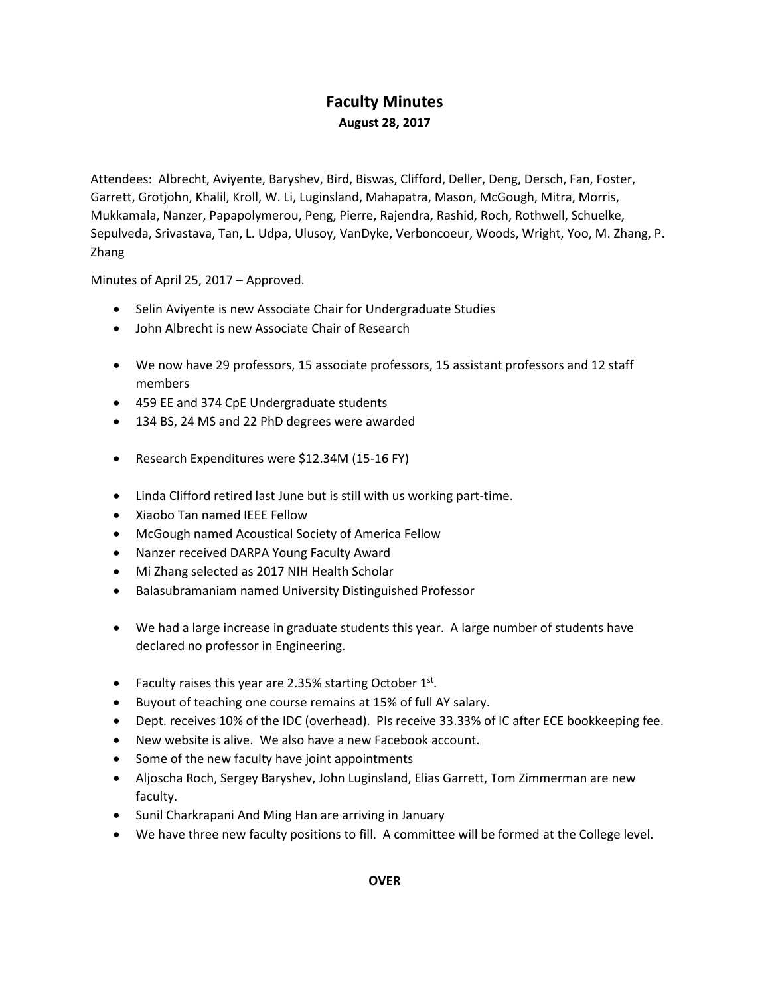# **Faculty Minutes August 28, 2017**

Attendees: Albrecht, Aviyente, Baryshev, Bird, Biswas, Clifford, Deller, Deng, Dersch, Fan, Foster, Garrett, Grotjohn, Khalil, Kroll, W. Li, Luginsland, Mahapatra, Mason, McGough, Mitra, Morris, Mukkamala, Nanzer, Papapolymerou, Peng, Pierre, Rajendra, Rashid, Roch, Rothwell, Schuelke, Sepulveda, Srivastava, Tan, L. Udpa, Ulusoy, VanDyke, Verboncoeur, Woods, Wright, Yoo, M. Zhang, P. Zhang

Minutes of April 25, 2017 – Approved.

- Selin Aviyente is new Associate Chair for Undergraduate Studies
- John Albrecht is new Associate Chair of Research
- We now have 29 professors, 15 associate professors, 15 assistant professors and 12 staff members
- 459 EE and 374 CpE Undergraduate students
- 134 BS, 24 MS and 22 PhD degrees were awarded
- Research Expenditures were \$12.34M (15-16 FY)
- Linda Clifford retired last June but is still with us working part-time.
- Xiaobo Tan named IEEE Fellow
- McGough named Acoustical Society of America Fellow
- Nanzer received DARPA Young Faculty Award
- Mi Zhang selected as 2017 NIH Health Scholar
- Balasubramaniam named University Distinguished Professor
- We had a large increase in graduate students this year. A large number of students have declared no professor in Engineering.
- Faculty raises this year are 2.35% starting October  $1<sup>st</sup>$ .
- Buyout of teaching one course remains at 15% of full AY salary.
- Dept. receives 10% of the IDC (overhead). PIs receive 33.33% of IC after ECE bookkeeping fee.
- New website is alive. We also have a new Facebook account.
- Some of the new faculty have joint appointments
- Aljoscha Roch, Sergey Baryshev, John Luginsland, Elias Garrett, Tom Zimmerman are new faculty.
- Sunil Charkrapani And Ming Han are arriving in January
- We have three new faculty positions to fill. A committee will be formed at the College level.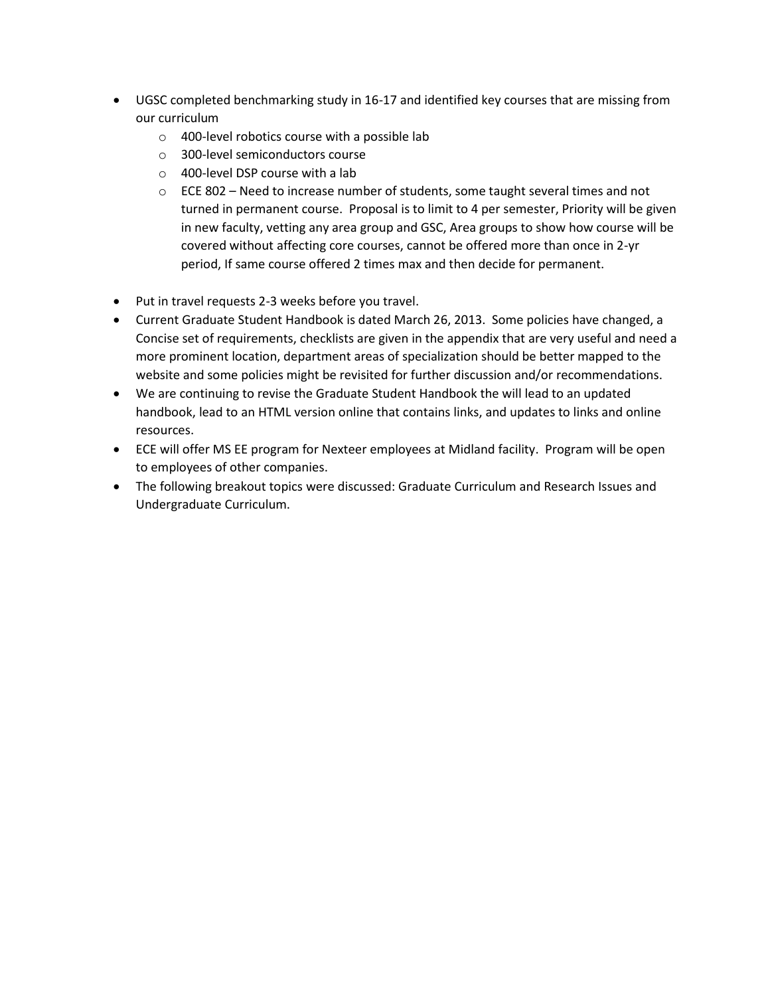- UGSC completed benchmarking study in 16-17 and identified key courses that are missing from our curriculum
	- o 400-level robotics course with a possible lab
	- o 300-level semiconductors course
	- o 400-level DSP course with a lab
	- $\circ$  ECE 802 Need to increase number of students, some taught several times and not turned in permanent course. Proposal is to limit to 4 per semester, Priority will be given in new faculty, vetting any area group and GSC, Area groups to show how course will be covered without affecting core courses, cannot be offered more than once in 2-yr period, If same course offered 2 times max and then decide for permanent.
- Put in travel requests 2-3 weeks before you travel.
- Current Graduate Student Handbook is dated March 26, 2013. Some policies have changed, a Concise set of requirements, checklists are given in the appendix that are very useful and need a more prominent location, department areas of specialization should be better mapped to the website and some policies might be revisited for further discussion and/or recommendations.
- We are continuing to revise the Graduate Student Handbook the will lead to an updated handbook, lead to an HTML version online that contains links, and updates to links and online resources.
- ECE will offer MS EE program for Nexteer employees at Midland facility. Program will be open to employees of other companies.
- The following breakout topics were discussed: Graduate Curriculum and Research Issues and Undergraduate Curriculum.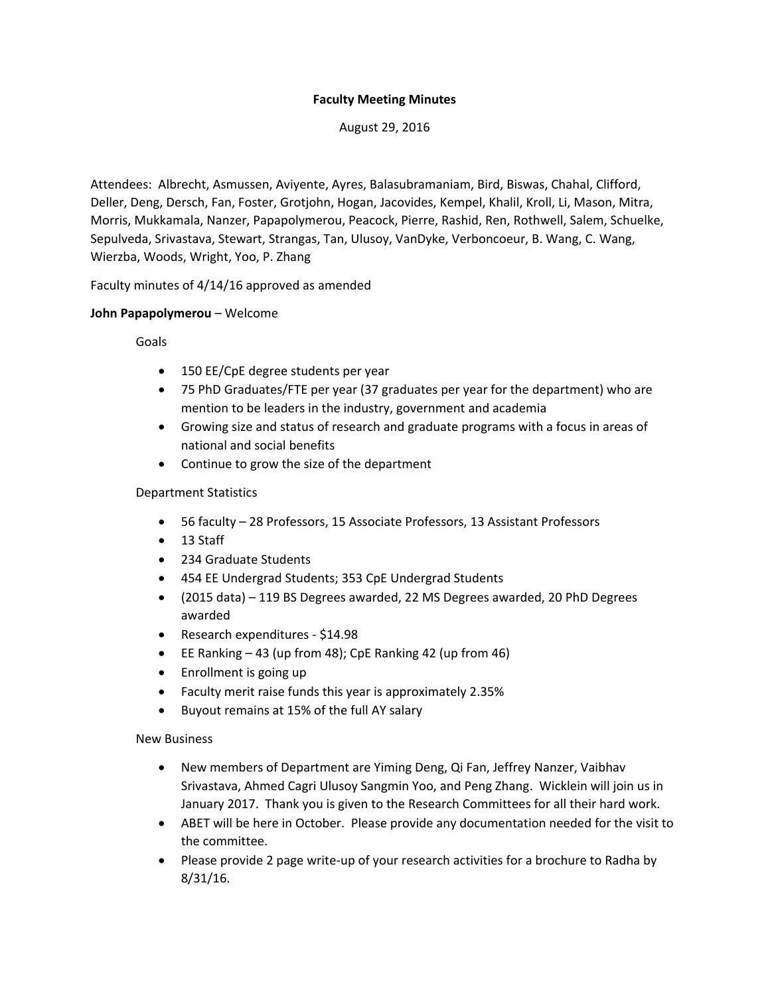### **Faculty Meeting Minutes**

August 29, 2016

Attendees: Albrecht, Asmussen, Aviyente, Ayres, Balasubramaniam, Bird, Biswas, Chahal, Clifford, Deller, Deng, Dersch, Fan, Foster, Grotjohn, Hogan, Jacovides, Kempel, Khalil, Kroll, Li, Mason, Mitra, Morris, Mukkamala, Nanzer, Papapolymerou, Peacock, Pierre, Rashid, Ren, Rothwell, Salem, Schuelke, Sepulveda, Srivastava, Stewart, Strangas, Tan, Ulusoy, VanDyke, Verboncoeur, B. Wang, C. Wang, Wierzba, Woods, Wright, Yoo, P. Zhang

Faculty minutes of 4/14/16 approved as amended

### **John Papapolymerou** – Welcome

Goals

- 150 EE/CpE degree students per year
- 75 PhD Graduates/FTE per year (37 graduates per year for the department) who are mention to be leaders in the industry, government and academia
- Growing size and status of research and graduate programs with a focus in areas of national and social benefits
- Continue to grow the size of the department

### Department Statistics

- 56 faculty 28 Professors, 15 Associate Professors, 13 Assistant Professors
- 13 Staff
- 234 Graduate Students
- 454 EE Undergrad Students; 353 CpE Undergrad Students
- (2015 data) 119 BS Degrees awarded, 22 MS Degrees awarded, 20 PhD Degrees awarded
- Research expenditures \$14.98
- EE Ranking 43 (up from 48); CpE Ranking 42 (up from 46)
- Enrollment is going up
- Faculty merit raise funds this year is approximately 2.35%
- Buyout remains at 15% of the full AY salary

#### New Business

- New members of Department are Yiming Deng, Qi Fan, Jeffrey Nanzer, Vaibhav Srivastava, Ahmed Cagri Ulusoy Sangmin Yoo, and Peng Zhang. Wicklein will join us in January 2017. Thank you is given to the Research Committees for all their hard work.
- ABET will be here in October. Please provide any documentation needed for the visit to the committee.
- Please provide 2 page write-up of your research activities for a brochure to Radha by 8/31/16.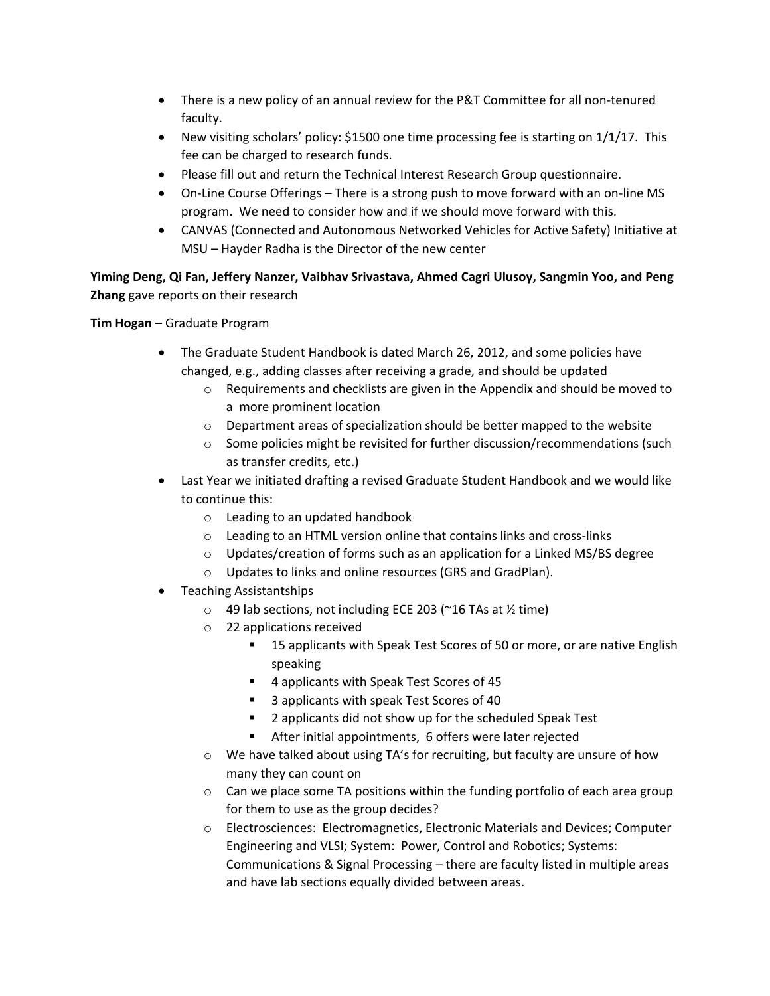- There is a new policy of an annual review for the P&T Committee for all non-tenured faculty.
- New visiting scholars' policy: \$1500 one time processing fee is starting on  $1/1/17$ . This fee can be charged to research funds.
- Please fill out and return the Technical Interest Research Group questionnaire.
- On-Line Course Offerings There is a strong push to move forward with an on-line MS program. We need to consider how and if we should move forward with this.
- CANVAS (Connected and Autonomous Networked Vehicles for Active Safety) Initiative at MSU – Hayder Radha is the Director of the new center

**Yiming Deng, Qi Fan, Jeffery Nanzer, Vaibhav Srivastava, Ahmed Cagri Ulusoy, Sangmin Yoo, and Peng Zhang** gave reports on their research

**Tim Hogan** – Graduate Program

- The Graduate Student Handbook is dated March 26, 2012, and some policies have changed, e.g., adding classes after receiving a grade, and should be updated
	- o Requirements and checklists are given in the Appendix and should be moved to a more prominent location
	- o Department areas of specialization should be better mapped to the website
	- o Some policies might be revisited for further discussion/recommendations (such as transfer credits, etc.)
- Last Year we initiated drafting a revised Graduate Student Handbook and we would like to continue this:
	- o Leading to an updated handbook
	- o Leading to an HTML version online that contains links and cross-links
	- o Updates/creation of forms such as an application for a Linked MS/BS degree
	- o Updates to links and online resources (GRS and GradPlan).
- Teaching Assistantships
	- $\circ$  49 lab sections, not including ECE 203 (~16 TAs at ½ time)
	- o 22 applications received
		- 15 applicants with Speak Test Scores of 50 or more, or are native English speaking
		- 4 applicants with Speak Test Scores of 45
		- 3 applicants with speak Test Scores of 40
		- 2 applicants did not show up for the scheduled Speak Test
		- After initial appointments, 6 offers were later rejected
	- $\circ$  We have talked about using TA's for recruiting, but faculty are unsure of how many they can count on
	- $\circ$  Can we place some TA positions within the funding portfolio of each area group for them to use as the group decides?
	- o Electrosciences: Electromagnetics, Electronic Materials and Devices; Computer Engineering and VLSI; System: Power, Control and Robotics; Systems: Communications & Signal Processing – there are faculty listed in multiple areas and have lab sections equally divided between areas.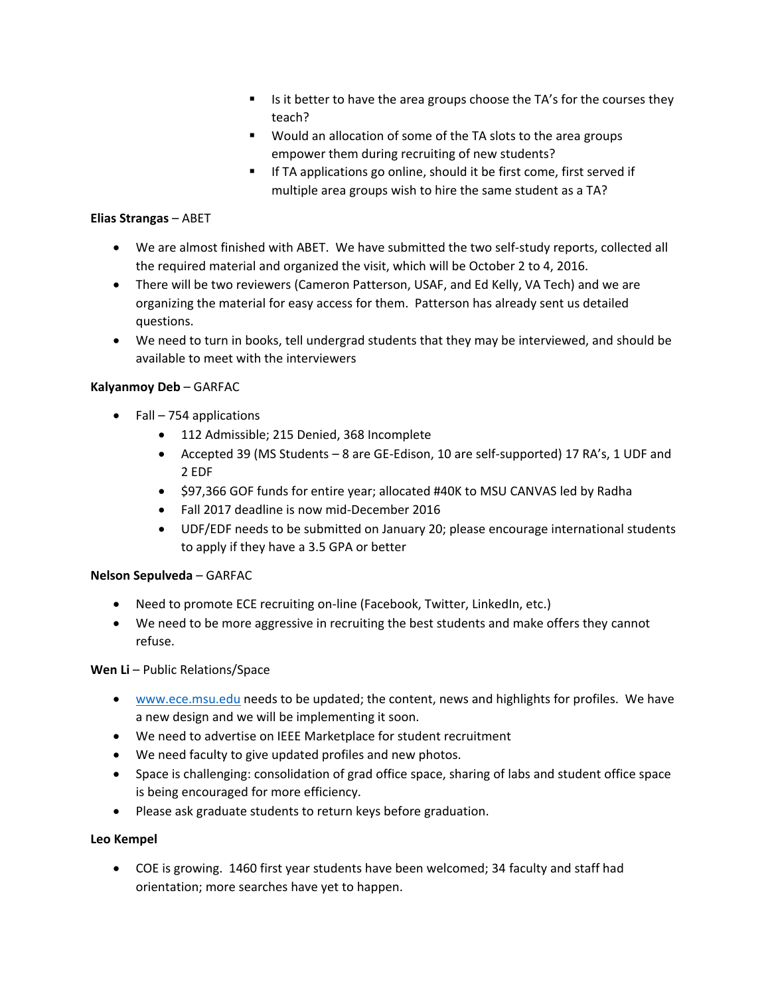- Is it better to have the area groups choose the  $TA's$  for the courses they teach?
- Would an allocation of some of the TA slots to the area groups empower them during recruiting of new students?
- **If TA applications go online, should it be first come, first served if** multiple area groups wish to hire the same student as a TA?

## **Elias Strangas** – ABET

- We are almost finished with ABET. We have submitted the two self-study reports, collected all the required material and organized the visit, which will be October 2 to 4, 2016.
- There will be two reviewers (Cameron Patterson, USAF, and Ed Kelly, VA Tech) and we are organizing the material for easy access for them. Patterson has already sent us detailed questions.
- We need to turn in books, tell undergrad students that they may be interviewed, and should be available to meet with the interviewers

### **Kalyanmoy Deb** – GARFAC

- $\bullet$  Fall 754 applications
	- 112 Admissible; 215 Denied, 368 Incomplete
	- Accepted 39 (MS Students 8 are GE-Edison, 10 are self-supported) 17 RA's, 1 UDF and 2 EDF
	- \$97,366 GOF funds for entire year; allocated #40K to MSU CANVAS led by Radha
	- Fall 2017 deadline is now mid-December 2016
	- UDF/EDF needs to be submitted on January 20; please encourage international students to apply if they have a 3.5 GPA or better

# **Nelson Sepulveda** – GARFAC

- Need to promote ECE recruiting on-line (Facebook, Twitter, LinkedIn, etc.)
- We need to be more aggressive in recruiting the best students and make offers they cannot refuse.

# **Wen Li** – Public Relations/Space

- **.** [www.ece.msu.edu](http://www.ece.msu.edu/) needs to be updated; the content, news and highlights for profiles. We have a new design and we will be implementing it soon.
- We need to advertise on IEEE Marketplace for student recruitment
- We need faculty to give updated profiles and new photos.
- Space is challenging: consolidation of grad office space, sharing of labs and student office space is being encouraged for more efficiency.
- Please ask graduate students to return keys before graduation.

# **Leo Kempel**

 COE is growing. 1460 first year students have been welcomed; 34 faculty and staff had orientation; more searches have yet to happen.